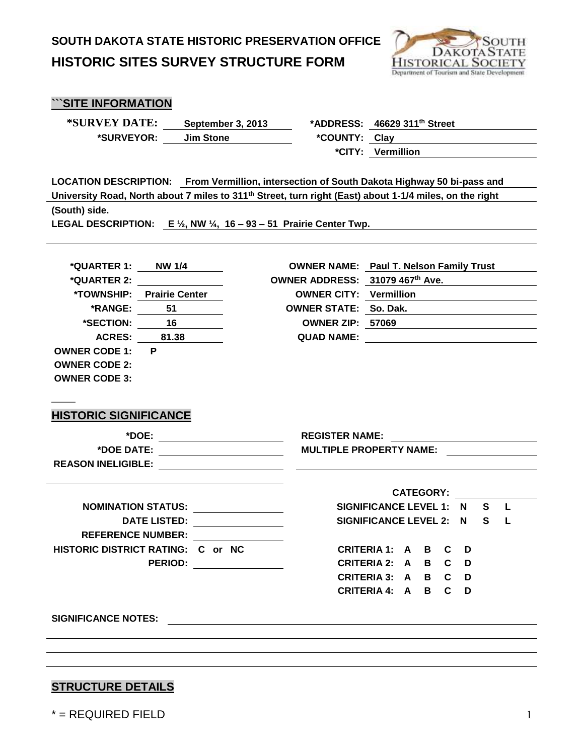

| "SITE INFORMATION |  |
|-------------------|--|
|-------------------|--|

**\*SURVEYOR: Jim Stone \*COUNTY: Clay** 

**\*SURVEY DATE: September 3, 2013 \*ADDRESS: 46629 311th Street**

**\*CITY: Vermillion**

**LOCATION DESCRIPTION: From Vermillion, intersection of South Dakota Highway 50 bi-pass and University Road, North about 7 miles to 311th Street, turn right (East) about 1-1/4 miles, on the right (South) side.**

**LEGAL DESCRIPTION: E ½, NW ¼, 16 – 93 – 51 Prairie Center Twp.** 

| *QUARTER 1: NW 1/4                 |                                                |                                 | <b>OWNER NAME:</b> Paul T. Nelson Family Trust      |  |              |  |
|------------------------------------|------------------------------------------------|---------------------------------|-----------------------------------------------------|--|--------------|--|
|                                    |                                                | OWNER ADDRESS: 31079 467th Ave. |                                                     |  |              |  |
|                                    | *TOWNSHIP: Prairie Center                      |                                 | OWNER CITY: Vermillion                              |  |              |  |
|                                    | *RANGE: 51                                     | OWNER STATE: So. Dak.           |                                                     |  |              |  |
|                                    | *SECTION: 16                                   |                                 | OWNER ZIP: 570 <u>69 __________________________</u> |  |              |  |
|                                    | ACRES: 81.38                                   |                                 |                                                     |  |              |  |
| <b>OWNER CODE 1:</b>               | P.                                             |                                 |                                                     |  |              |  |
| <b>OWNER CODE 2:</b>               |                                                |                                 |                                                     |  |              |  |
| <b>OWNER CODE 3:</b>               |                                                |                                 |                                                     |  |              |  |
|                                    |                                                |                                 |                                                     |  |              |  |
|                                    |                                                |                                 |                                                     |  |              |  |
| <b>HISTORIC SIGNIFICANCE</b>       |                                                |                                 |                                                     |  |              |  |
|                                    | *DOE: _______________________                  |                                 | <b>REGISTER NAME:</b>                               |  |              |  |
| *DOE DATE: _______________________ |                                                |                                 | <b>MULTIPLE PROPERTY NAME:</b>                      |  |              |  |
|                                    |                                                |                                 |                                                     |  |              |  |
|                                    |                                                |                                 |                                                     |  |              |  |
|                                    |                                                |                                 | <b>CATEGORY:</b>                                    |  |              |  |
|                                    | NOMINATION STATUS: University Production State |                                 | SIGNIFICANCE LEVEL 1: N S                           |  | $\mathbf{L}$ |  |
|                                    | DATE LISTED: _____________                     |                                 | SIGNIFICANCE LEVEL 2: N S L                         |  |              |  |
|                                    | <b>REFERENCE NUMBER:</b>                       |                                 |                                                     |  |              |  |
| HISTORIC DISTRICT RATING: C or NC  |                                                |                                 | CRITERIA 1: A B C D                                 |  |              |  |
|                                    | PERIOD: _________________                      |                                 | CRITERIA 2: A B C D                                 |  |              |  |
|                                    |                                                |                                 | CRITERIA 3: A B C D                                 |  |              |  |
|                                    |                                                |                                 | CRITERIA 4: A B C D                                 |  |              |  |
|                                    |                                                |                                 |                                                     |  |              |  |
|                                    |                                                |                                 |                                                     |  |              |  |
|                                    |                                                |                                 |                                                     |  |              |  |
|                                    |                                                |                                 |                                                     |  |              |  |
|                                    |                                                |                                 |                                                     |  |              |  |
|                                    |                                                |                                 |                                                     |  |              |  |

#### **STRUCTURE DETAILS**

 $\alpha^*$  = REQUIRED FIELD 1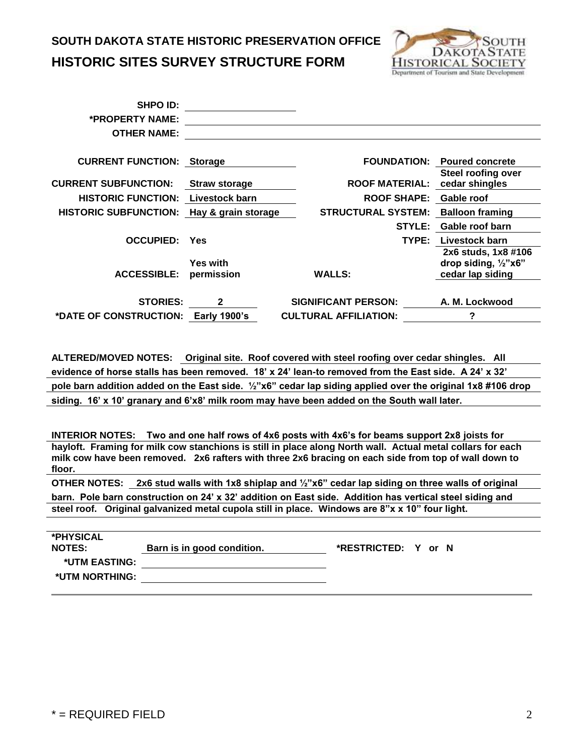

| <b>SHPO ID:</b>                           |                               |                               |                                                                            |
|-------------------------------------------|-------------------------------|-------------------------------|----------------------------------------------------------------------------|
| *PROPERTY NAME:                           |                               |                               |                                                                            |
| <b>OTHER NAME:</b>                        |                               |                               |                                                                            |
| <b>CURRENT FUNCTION: Storage</b>          |                               |                               | <b>FOUNDATION: Poured concrete</b>                                         |
|                                           |                               |                               | <b>Steel roofing over</b>                                                  |
| <b>CURRENT SUBFUNCTION:</b>               | <b>Straw storage</b>          | ROOF MATERIAL: cedar shingles |                                                                            |
| <b>HISTORIC FUNCTION:</b>                 | Livestock barn                | <b>ROOF SHAPE:</b>            | Gable roof                                                                 |
| HISTORIC SUBFUNCTION: Hay & grain storage |                               | <b>STRUCTURAL SYSTEM:</b>     | <b>Balloon framing</b>                                                     |
|                                           |                               | <b>STYLE:</b>                 | Gable roof barn                                                            |
| <b>OCCUPIED:</b>                          | <b>Yes</b>                    | TYPE:                         | Livestock barn                                                             |
| <b>ACCESSIBLE:</b>                        | <b>Yes with</b><br>permission | <b>WALLS:</b>                 | 2x6 studs, 1x8 #106<br>drop siding, $\frac{1}{2}$ "x6"<br>cedar lap siding |
| <b>STORIES:</b>                           | $\mathbf{2}$                  | <b>SIGNIFICANT PERSON:</b>    | A. M. Lockwood                                                             |
| *DATE OF CONSTRUCTION: Early 1900's       |                               | <b>CULTURAL AFFILIATION:</b>  | ?                                                                          |

**ALTERED/MOVED NOTES: Original site. Roof covered with steel roofing over cedar shingles. All evidence of horse stalls has been removed. 18' x 24' lean-to removed from the East side. A 24' x 32' pole barn addition added on the East side. ½"x6" cedar lap siding applied over the original 1x8 #106 drop siding. 16' x 10' granary and 6'x8' milk room may have been added on the South wall later.**

**INTERIOR NOTES: Two and one half rows of 4x6 posts with 4x6's for beams support 2x8 joists for hayloft. Framing for milk cow stanchions is still in place along North wall. Actual metal collars for each milk cow have been removed. 2x6 rafters with three 2x6 bracing on each side from top of wall down to floor.** 

**OTHER NOTES: 2x6 stud walls with 1x8 shiplap and ½"x6" cedar lap siding on three walls of original** 

**barn. Pole barn construction on 24' x 32' addition on East side. Addition has vertical steel siding and steel roof. Original galvanized metal cupola still in place. Windows are 8"x x 10" four light.** 

| *PHYSICAL<br><b>NOTES:</b> | Barn is in good condition. | *RESTRICTED: Y or N |  |
|----------------------------|----------------------------|---------------------|--|
| *UTM EASTING:              |                            |                     |  |
| *UTM NORTHING:             |                            |                     |  |
|                            |                            |                     |  |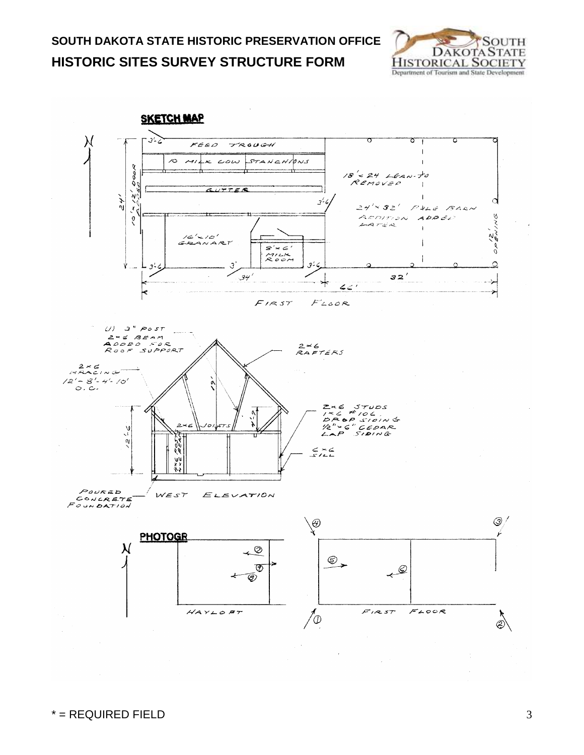

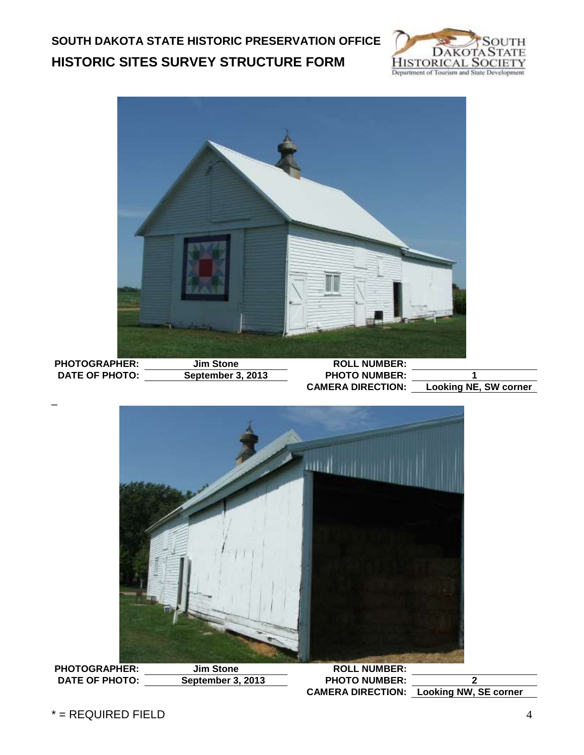



**PHOTOGRAPHER: Jim Stone ROLL NUMBER: DATE OF PHOTO: September 3, 2013 PHOTO NUMBER: 2**

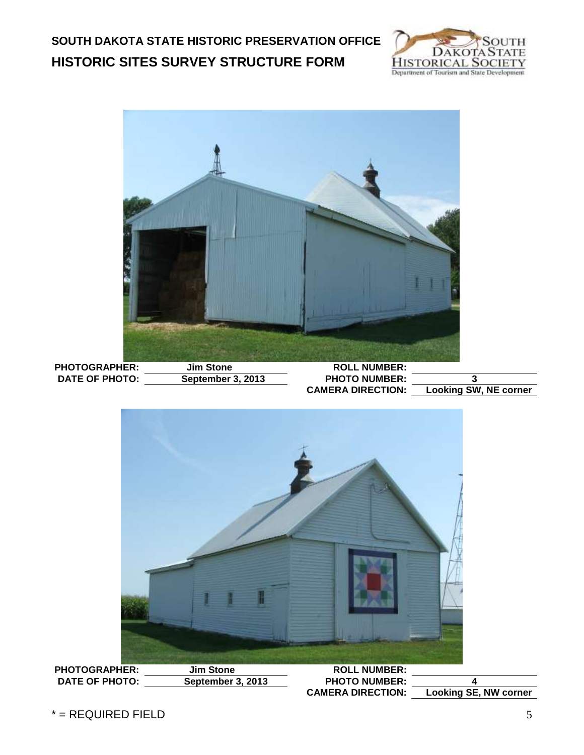

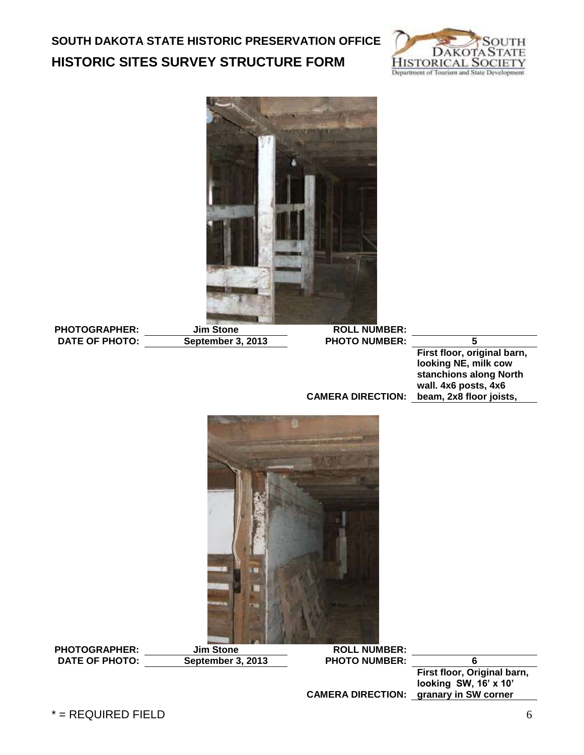



PHOTOGRAPHER: Jim Stone ROLL NUMBER:<br>DATE OF PHOTO: September 3, 2013 PHOTO NUMBER:

**DATE OF PHOTO: September 3, 2013 PHOTO NUMBER: 5**

**CAMERA DIRECTION: beam, 2x8 floor joists, First floor, original barn, looking NE, milk cow stanchions along North wall. 4x6 posts, 4x6** 



PHOTOGRAPHER: Jim Stone ROLL NUMBER:<br>
DATE OF PHOTO: September 3, 2013 PHOTO NUMBER: **DATE OF PHOTO: September 3, 2013 PHOTO NUMBER: 6**

**CAMERA DIRECTION: granary in SW cornerFirst floor, Original barn, looking SW, 16' x 10'** 

 $*$  = REQUIRED FIELD 6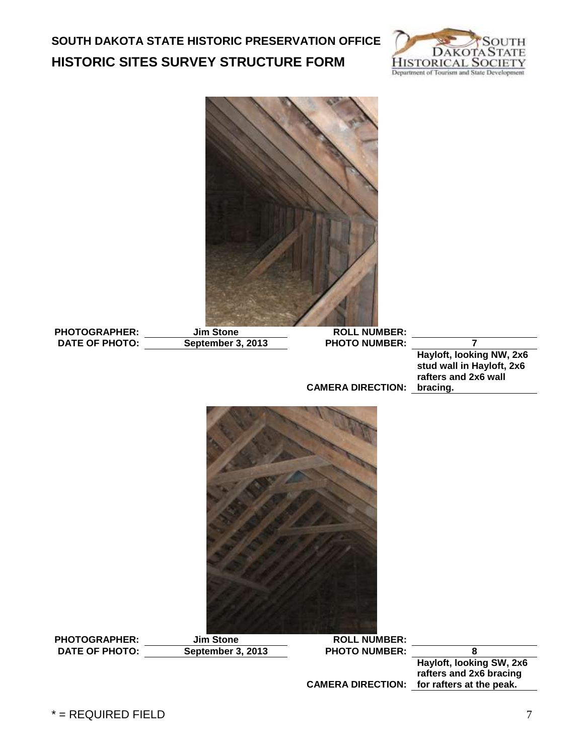![](_page_6_Picture_1.jpeg)

![](_page_6_Picture_2.jpeg)

PHOTOGRAPHER: Jim Stone ROLL NUMBER:<br>DATE OF PHOTO: September 3, 2013 PHOTO NUMBER: **DATE OF PHOTO: September 3, 2013 PHOTO NUMBER: 7**

**Hayloft, looking NW, 2x6 stud wall in Hayloft, 2x6 rafters and 2x6 wall** 

**CAMERA DIRECTION: bracing.**

![](_page_6_Picture_7.jpeg)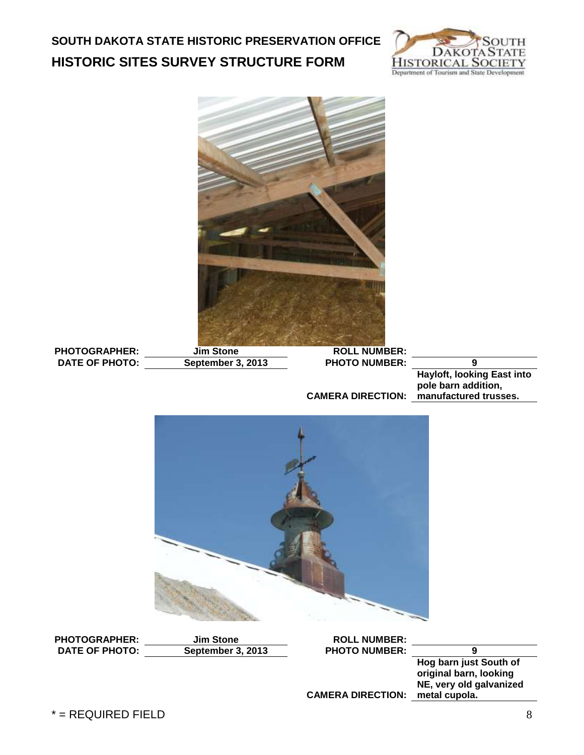![](_page_7_Picture_1.jpeg)

![](_page_7_Picture_2.jpeg)

PHOTOGRAPHER: Jim Stone ROLL NUMBER: **DATE OF PHOTO: September 3, 2013 PHOTO NUMBER: 9**

**CAMERA DIRECTION: manufactured trusses. Hayloft, looking East into pole barn addition,** 

![](_page_7_Picture_6.jpeg)

 $*$  = REQUIRED FIELD  $\qquad \qquad \qquad 8$ PHOTOGRAPHER: Jim Stone ROLL NUMBER:<br>
DATE OF PHOTO: September 3, 2013 PHOTO NUMBER: **DATE OF PHOTO: September 3, 2013 PHOTO NUMBER: 9 CAMERA DIRECTION: metal cupola.Hog barn just South of original barn, looking NE, very old galvanized**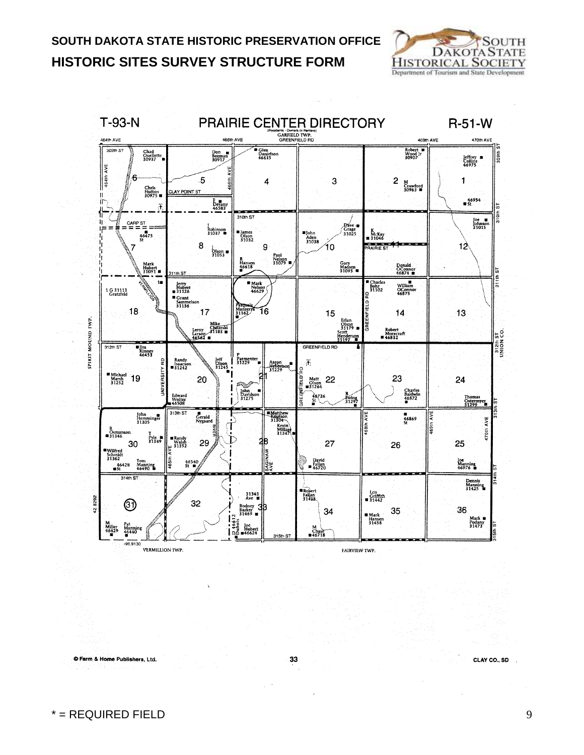![](_page_8_Picture_1.jpeg)

![](_page_8_Figure_2.jpeg)

33

© Farm & Home Publishers, Ltd.

CLAY CO., SD